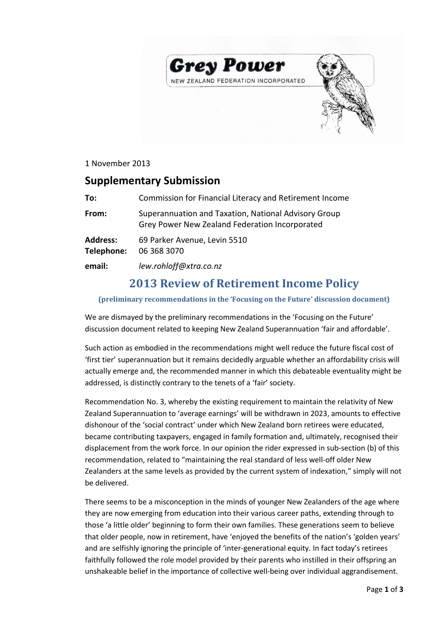



### 1 November 2013

## **Supplementary Submission**

| To:                           | Commission for Financial Literacy and Retirement Income                                                |
|-------------------------------|--------------------------------------------------------------------------------------------------------|
| From:                         | Superannuation and Taxation, National Advisory Group<br>Grey Power New Zealand Federation Incorporated |
| <b>Address:</b><br>Telephone: | 69 Parker Avenue, Levin 5510<br>06 368 3070                                                            |
| email:                        | lew.rohloff@xtra.co.nz                                                                                 |

# **2013 Review of Retirement Income Policy**

#### **(preliminary recommendations in the 'Focusing on the Future' discussion document)**

We are dismayed by the preliminary recommendations in the 'Focusing on the Future' discussion document related to keeping New Zealand Superannuation 'fair and affordable'.

Such action as embodied in the recommendations might well reduce the future fiscal cost of 'first tier' superannuation but it remains decidedly arguable whether an affordability crisis will actually emerge and, the recommended manner in which this debateable eventuality might be addressed, is distinctly contrary to the tenets of a 'fair' society.

Recommendation No. 3, whereby the existing requirement to maintain the relativity of New Zealand Superannuation to 'average earnings' will be withdrawn in 2023, amounts to effective dishonour of the 'social contract' under which New Zealand born retirees were educated, became contributing taxpayers, engaged in family formation and, ultimately, recognised their displacement from the work force. In our opinion the rider expressed in sub-section (b) of this recommendation, related to "maintaining the real standard of less well-off older New Zealanders at the same levels as provided by the current system of indexation," simply will not be delivered.

There seems to be a misconception in the minds of younger New Zealanders of the age where they are now emerging from education into their various career paths, extending through to those 'a little older' beginning to form their own families. These generations seem to believe that older people, now in retirement, have 'enjoyed the benefits of the nation's 'golden years' and are selfishly ignoring the principle of 'inter-generational equity. In fact today's retirees faithfully followed the role model provided by their parents who instilled in their offspring an unshakeable belief in the importance of collective well-being over individual aggrandisement.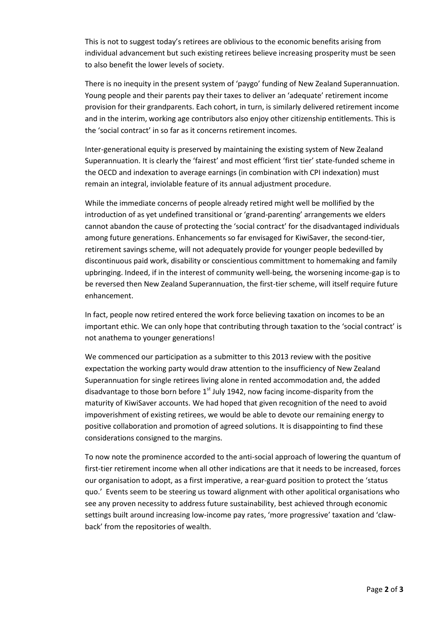This is not to suggest today's retirees are oblivious to the economic benefits arising from individual advancement but such existing retirees believe increasing prosperity must be seen to also benefit the lower levels of society.

There is no inequity in the present system of 'paygo' funding of New Zealand Superannuation. Young people and their parents pay their taxes to deliver an 'adequate' retirement income provision for their grandparents. Each cohort, in turn, is similarly delivered retirement income and in the interim, working age contributors also enjoy other citizenship entitlements. This is the 'social contract' in so far as it concerns retirement incomes.

Inter-generational equity is preserved by maintaining the existing system of New Zealand Superannuation. It is clearly the 'fairest' and most efficient 'first tier' state-funded scheme in the OECD and indexation to average earnings (in combination with CPI indexation) must remain an integral, inviolable feature of its annual adjustment procedure.

While the immediate concerns of people already retired might well be mollified by the introduction of as yet undefined transitional or 'grand-parenting' arrangements we elders cannot abandon the cause of protecting the 'social contract' for the disadvantaged individuals among future generations. Enhancements so far envisaged for KiwiSaver, the second-tier, retirement savings scheme, will not adequately provide for younger people bedevilled by discontinuous paid work, disability or conscientious committment to homemaking and family upbringing. Indeed, if in the interest of community well-being, the worsening income-gap is to be reversed then New Zealand Superannuation, the first-tier scheme, will itself require future enhancement.

In fact, people now retired entered the work force believing taxation on incomes to be an important ethic. We can only hope that contributing through taxation to the 'social contract' is not anathema to younger generations!

We commenced our participation as a submitter to this 2013 review with the positive expectation the working party would draw attention to the insufficiency of New Zealand Superannuation for single retirees living alone in rented accommodation and, the added disadvantage to those born before  $1<sup>st</sup>$  July 1942, now facing income-disparity from the maturity of KiwiSaver accounts. We had hoped that given recognition of the need to avoid impoverishment of existing retirees, we would be able to devote our remaining energy to positive collaboration and promotion of agreed solutions. It is disappointing to find these considerations consigned to the margins.

To now note the prominence accorded to the anti-social approach of lowering the quantum of first-tier retirement income when all other indications are that it needs to be increased, forces our organisation to adopt, as a first imperative, a rear-guard position to protect the 'status quo.' Events seem to be steering us toward alignment with other apolitical organisations who see any proven necessity to address future sustainability, best achieved through economic settings built around increasing low-income pay rates, 'more progressive' taxation and 'clawback' from the repositories of wealth.